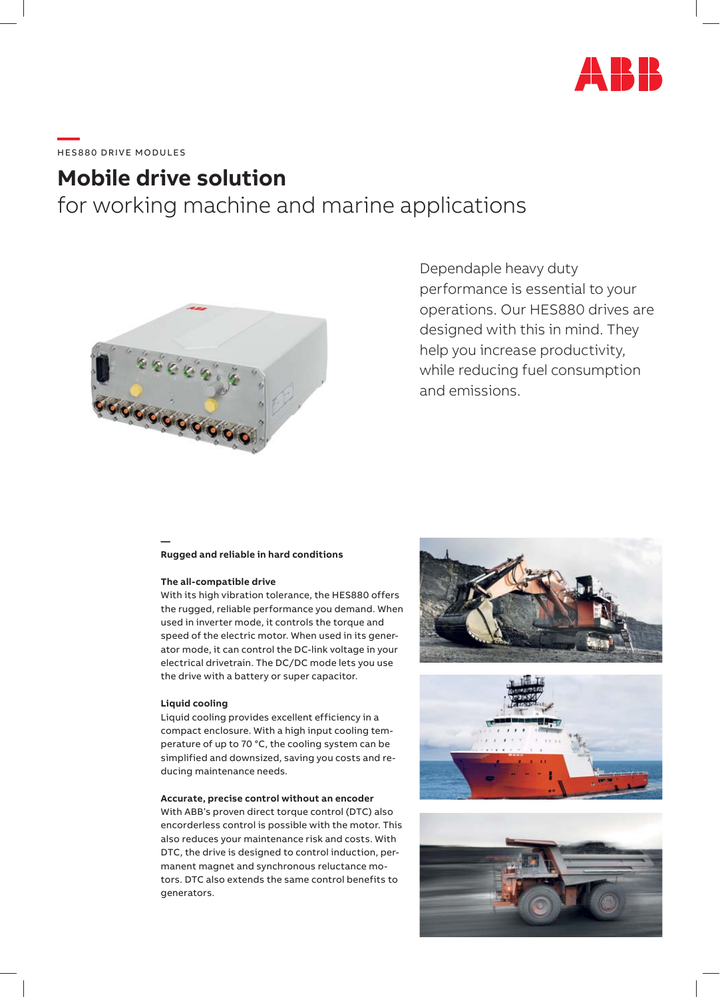

# \_\_\_\_<br>HES880 DRIVE MODULES

## **Mobile drive solution**

for working machine and marine applications



### Dependaple heavy duty performance is essential to your operations. Our HES880 drives are designed with this in mind. They help you increase productivity, while reducing fuel consumption and emissions.

#### **Rugged and reliable in hard conditions**

#### **The all-compatible drive**

**—**

With its high vibration tolerance, the HES880 offers the rugged, reliable performance you demand. When used in inverter mode, it controls the torque and speed of the electric motor. When used in its generator mode, it can control the DC-link voltage in your electrical drivetrain. The DC/DC mode lets you use the drive with a battery or super capacitor.

#### **Liquid cooling**

Liquid cooling provides excellent efficiency in a compact enclosure. With a high input cooling temperature of up to 70 °C, the cooling system can be simplified and downsized, saving you costs and reducing maintenance needs.

#### **Accurate, precise control without an encoder**

With ABB's proven direct torque control (DTC) also encorderless control is possible with the motor. This also reduces your maintenance risk and costs. With DTC, the drive is designed to control induction, permanent magnet and synchronous reluctance motors. DTC also extends the same control benefits to generators.